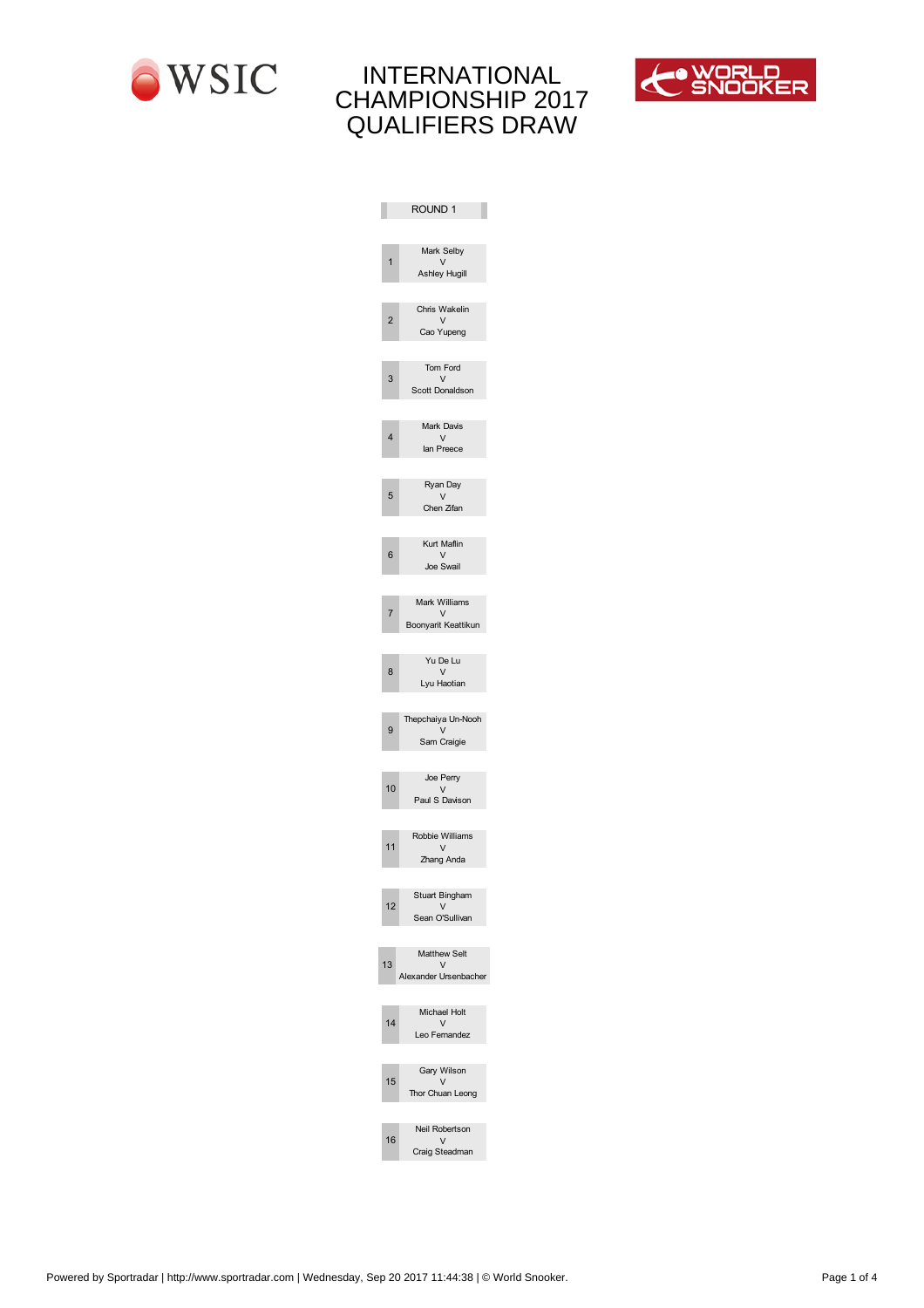



|                | ROUND 1                       |
|----------------|-------------------------------|
|                |                               |
|                | Mark Selby                    |
|                | $\vee$<br>Ashley Hugill       |
|                |                               |
|                | Chris Wakelin                 |
| $\overline{2}$ | $\vee$<br>Cao Yupeng          |
|                |                               |
|                | Tom Ford                      |
| 3              | V                             |
|                | Scott Donaldson               |
|                |                               |
| 4              | Mark Davis<br>V               |
|                | lan Preece                    |
|                |                               |
| 5              | Ryan Day<br>$\vee$            |
|                | Chen Zifan                    |
|                |                               |
|                | Kurt Maflin                   |
| 6              | $\vee$<br>Joe Swail           |
|                |                               |
|                | Mark Williams                 |
| $\overline{7}$ | $\vee$<br>Boonyarit Keattikun |
|                |                               |
|                | Yu De Lu                      |
| 8              | $\vee$                        |
|                | Lyu Haotian                   |
|                |                               |
| 9              | Thepchaiya Un- ooh<br>$\vee$  |
|                | Sam Craigie                   |
|                |                               |
|                | Joe Perry                     |
| 0              | V<br>Paul S Davison           |
|                |                               |
|                | Robbie Williams               |
|                | V                             |
|                | Zhang Anda                    |
|                |                               |
| $\overline{a}$ | Stuart Bingham<br>$\vee$      |
|                | Sean O'Sullivan               |
|                |                               |
| 3              | Matthew Selt<br>$\vee$        |
|                | Alexander Ursenbacher         |
|                |                               |
|                | Michael Holt                  |
| 4              | V<br>Leo Fernandez            |
|                |                               |
|                | Gary Wilson                   |
| 5              | V                             |
|                | Thor Chuan Leong              |
|                | eil Robertson                 |
| 6              | V <sub>v</sub>                |
|                | Craig Steadman                |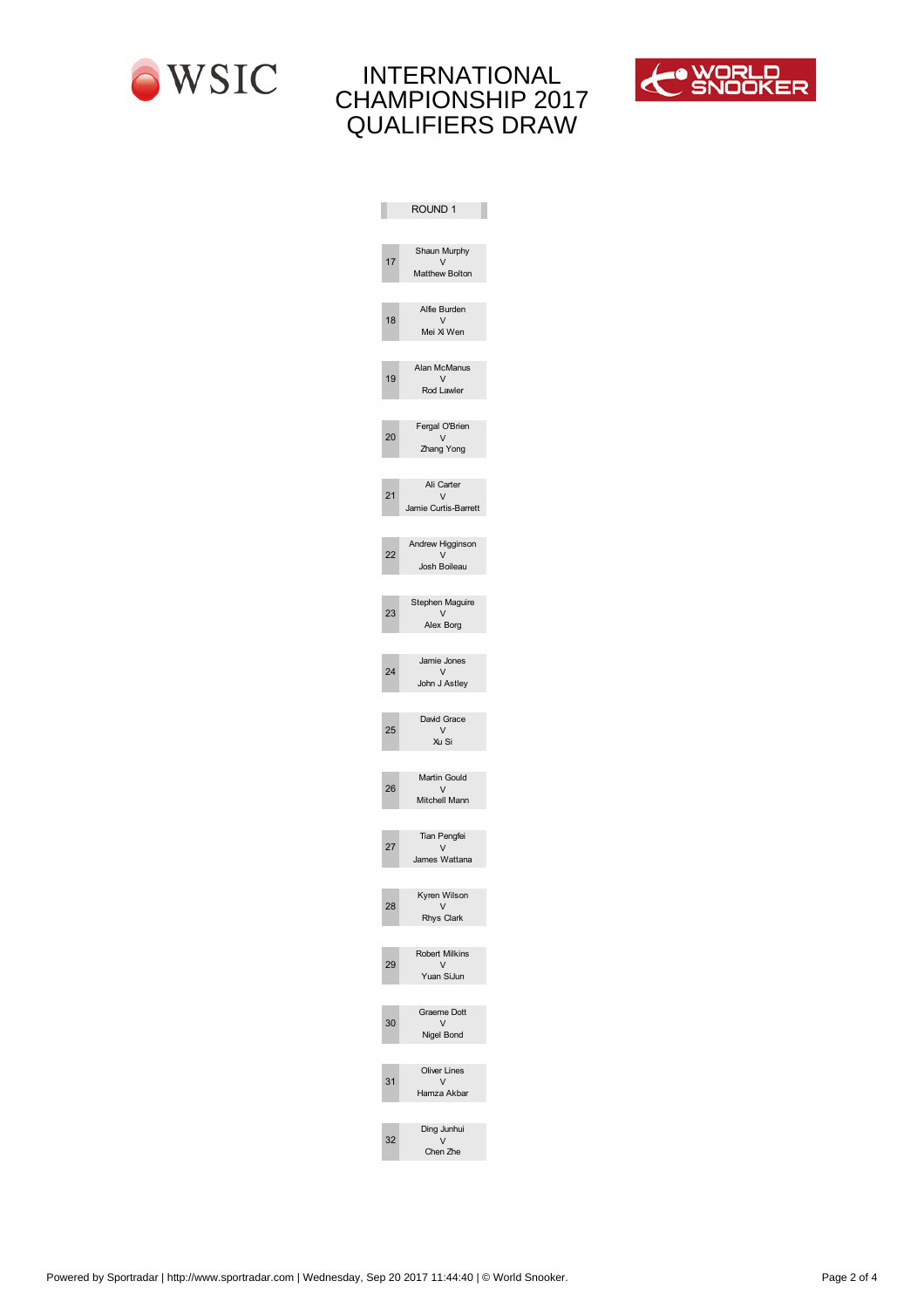



|                         | ROUND 1                        |
|-------------------------|--------------------------------|
|                         |                                |
| 17                      | Shaun Murphy                   |
|                         | V<br>Matthew Bolton            |
|                         |                                |
| 18                      | Alfie Burden<br>$\vee$         |
|                         | Mei Xi Wen                     |
|                         |                                |
| 19                      | Alan McManus<br>V              |
|                         | Rod Lawler                     |
|                         |                                |
| 20                      | Fergal O'Brien<br>$\vee$       |
|                         | Zhang Yong                     |
|                         |                                |
| 21                      | Ali Carter<br>$\vee$           |
|                         | Jamie Curtis-Barrett           |
|                         |                                |
| 22                      | Andrew Higginson<br>$\vee$     |
|                         | Josh Boileau                   |
|                         |                                |
| $\overline{\mathbf{c}}$ | Stephen Maguire<br>V           |
|                         | Alex Borg                      |
|                         |                                |
| 24                      | Jamie Jones<br>V               |
|                         | John J Astley                  |
|                         |                                |
| 25                      | avid Grace<br>V                |
|                         | Xu Si                          |
|                         |                                |
| 26                      | Martin Gould<br>V <sub>v</sub> |
|                         | Mitchell Mann                  |
|                         |                                |
| 27                      | Tian Pengfei<br>$\vee$         |
|                         | James Wattana                  |
|                         |                                |
| 28                      | Kyren Wilson<br>V              |
|                         | Rhys Clark                     |
|                         |                                |
| 29                      | Robert Milkins<br>V            |
|                         | Yuan SiJun                     |
|                         |                                |
| $\pmb{0}$               | Graeme ott<br>V                |
|                         | Nigel Bond                     |
|                         |                                |
| 1                       | <b>Oliver Lines</b><br>V       |
|                         | Hamza Akbar                    |
|                         |                                |
| 2                       | ing Junhui<br>$\vee$           |
|                         | Chen Zhe                       |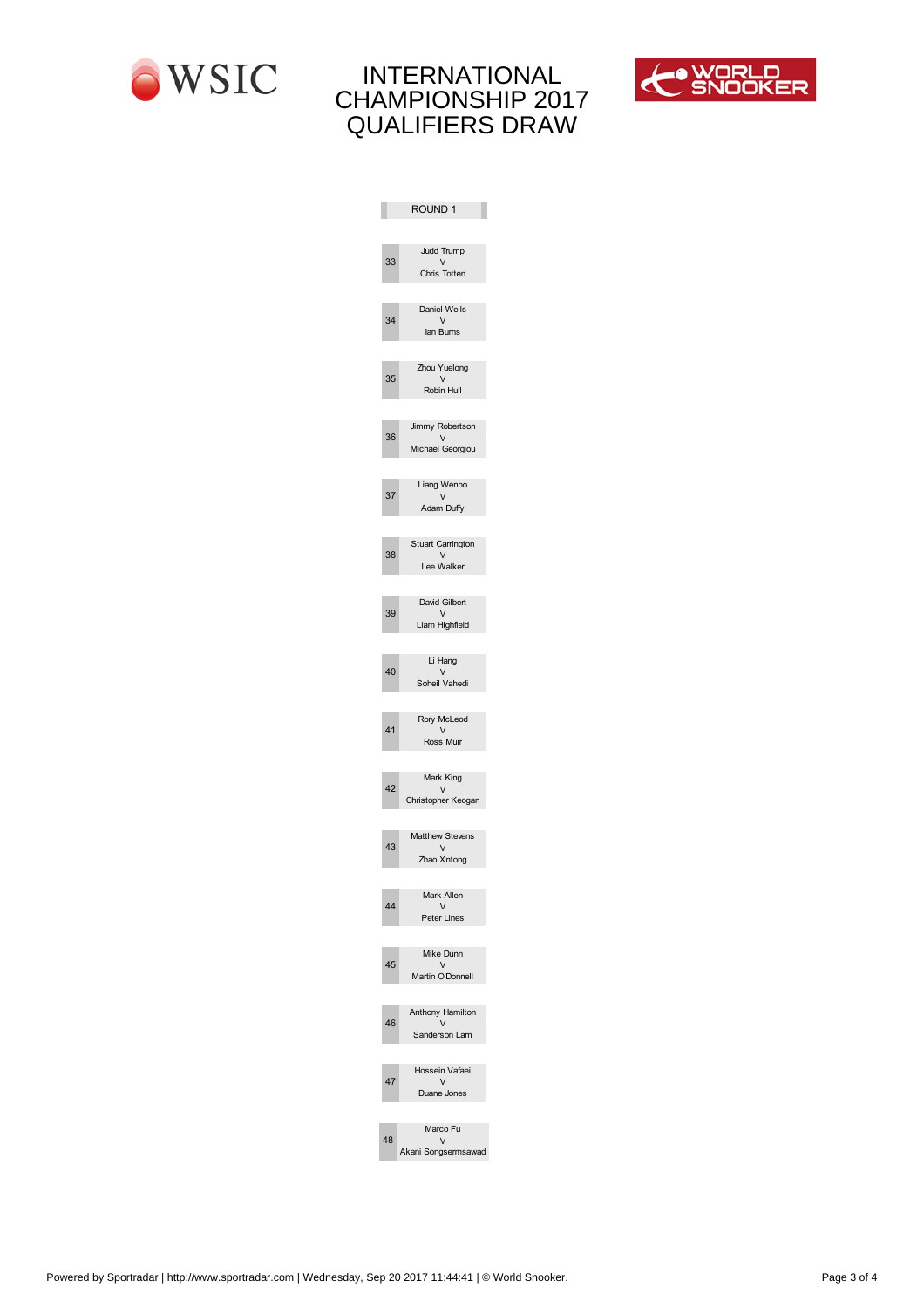



|                         | ROUND 1                          |
|-------------------------|----------------------------------|
|                         |                                  |
|                         | Judd Trump                       |
| 33                      | $\vee$<br>Chris Totten           |
|                         |                                  |
|                         | Daniel Wells                     |
| 3                       | $\vee$<br>lan Burns              |
|                         |                                  |
|                         | Zhou Yuelong                     |
| 35                      | V<br>Robin Hull                  |
|                         |                                  |
|                         | Jimmy Robertson                  |
| 36                      | $\vee$                           |
|                         | ichael Georgiou                  |
|                         | Liang Wenbo                      |
| 37                      | $\vee$                           |
|                         | Adam Duffy                       |
|                         |                                  |
| 38                      | Stuart Carrington<br>$\vee$      |
|                         | Lee Walker                       |
|                         |                                  |
| 39                      | David Gilbert<br>$\vee$          |
|                         | Liam Highfield                   |
|                         |                                  |
| 0                       | Li Hang<br>$\vee$                |
|                         | Soheil Vahedi                    |
|                         |                                  |
|                         | Rory cLeod                       |
| $\mathbf{1}$            | V<br>Ross uir                    |
|                         |                                  |
|                         | ark King                         |
| $\overline{\mathbf{c}}$ | $\vee$<br>Christopher Keogan     |
|                         |                                  |
|                         | atthew Stevens                   |
| 3                       | $\vee$                           |
|                         | Zhao Xintong                     |
|                         | ark Allen                        |
|                         | $\vee$                           |
|                         | Peter Lines                      |
|                         |                                  |
| 5                       | ike Dunn<br>$\vee$               |
|                         | artin O'Donnell                  |
|                         |                                  |
| 6                       | Anthony Hamilton<br>$\mathsf{V}$ |
|                         | Sanderson Lam                    |
|                         |                                  |
|                         | Hossein Vafaei                   |
| 7                       | V<br>Duane Jones                 |
|                         |                                  |
|                         | arco Fu                          |
| 8                       | V<br>Akani Songsermsawad         |